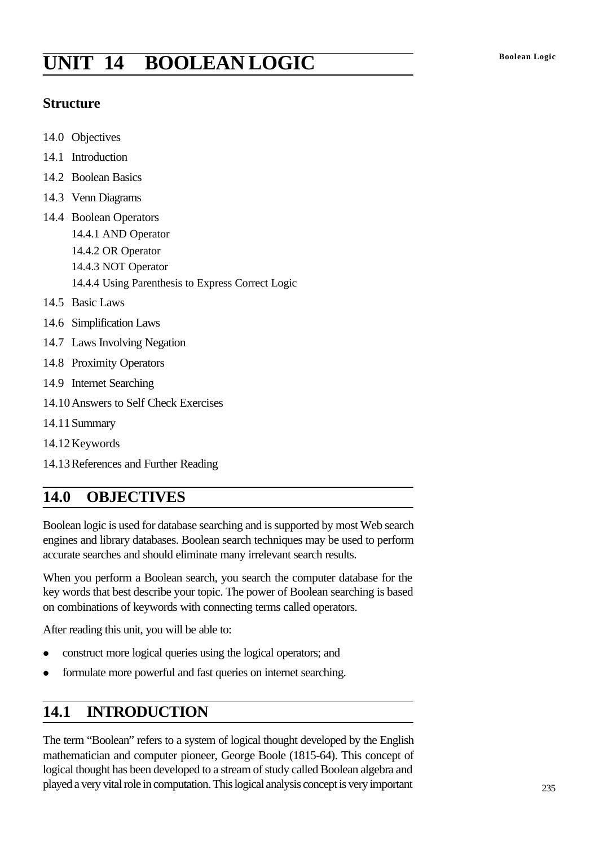# **Boolean Logic UNIT 14 BOOLEAN LOGIC**

#### **Structure**

- 14.0 Objectives
- 14.1 Introduction
- 14.2 Boolean Basics
- 14.3 Venn Diagrams
- 14.4 Boolean Operators 14.4.1 AND Operator 14.4.2 OR Operator 14.4.3 NOT Operator 14.4.4 Using Parenthesis to Express Correct Logic
- 14.5 Basic Laws
- 14.6 Simplification Laws
- 14.7 Laws Involving Negation
- 14.8 Proximity Operators
- 14.9 Internet Searching
- 14.10Answers to Self Check Exercises
- 14.11Summary
- 14.12Keywords
- 14.13References and Further Reading

# **14.0 OBJECTIVES**

Boolean logic is used for database searching and is supported by most Web search engines and library databases. Boolean search techniques may be used to perform accurate searches and should eliminate many irrelevant search results.

When you perform a Boolean search, you search the computer database for the key words that best describe your topic. The power of Boolean searching is based on combinations of keywords with connecting terms called operators.

After reading this unit, you will be able to:

- construct more logical queries using the logical operators; and
- **•** formulate more powerful and fast queries on internet searching.

# **14.1 INTRODUCTION**

The term "Boolean" refers to a system of logical thought developed by the English mathematician and computer pioneer, George Boole (1815-64). This concept of logical thought has been developed to a stream of study called Boolean algebra and played a very vital role in computation. This logical analysis concept is very important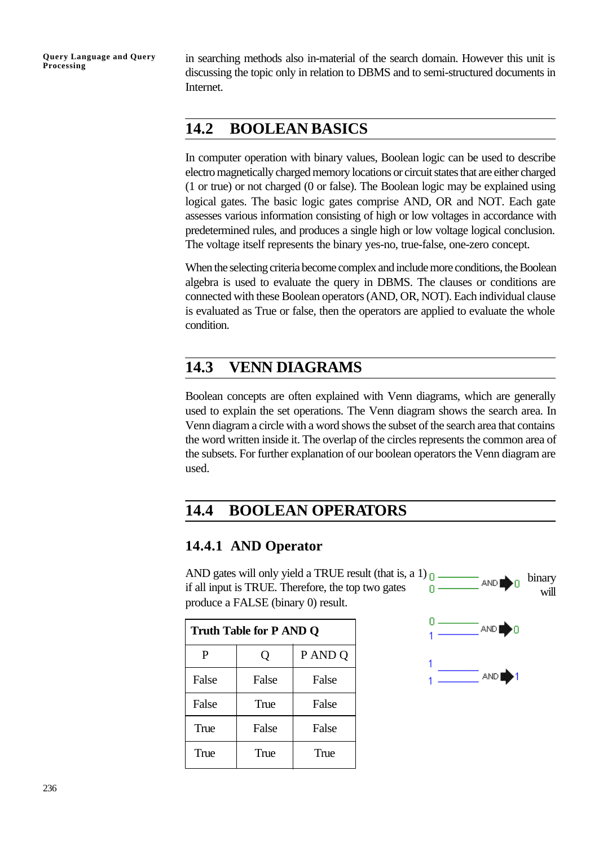in searching methods also in-material of the search domain. However this unit is discussing the topic only in relation to DBMS and to semi-structured documents in Internet.

# **14.2 BOOLEAN BASICS**

In computer operation with binary values, Boolean logic can be used to describe electro magnetically charged memory locations or circuit states that are either charged (1 or true) or not charged (0 or false). The Boolean logic may be explained using logical gates. The basic logic gates comprise AND, OR and NOT. Each gate assesses various information consisting of high or low voltages in accordance with predetermined rules, and produces a single high or low voltage logical conclusion. The voltage itself represents the binary yes-no, true-false, one-zero concept.

When the selecting criteria become complex and include more conditions, the Boolean algebra is used to evaluate the query in DBMS. The clauses or conditions are connected with these Boolean operators (AND, OR, NOT). Each individual clause is evaluated as True or false, then the operators are applied to evaluate the whole condition.

# **14.3 VENN DIAGRAMS**

Boolean concepts are often explained with Venn diagrams, which are generally used to explain the set operations. The Venn diagram shows the search area. In Venn diagram a circle with a word shows the subset of the search area that contains the word written inside it. The overlap of the circles represents the common area of the subsets. For further explanation of our boolean operators the Venn diagram are used.

# **14.4 BOOLEAN OPERATORS**

#### **14.4.1 AND Operator**

AND gates will only yield a TRUE result (that is, a 1)  $\Omega$ . binary AND<sub>2</sub> if all input is TRUE. Therefore, the top two gates 'n. willproduce a FALSE (binary 0) result.

| <b>Truth Table for P AND Q</b> |       |         |  |
|--------------------------------|-------|---------|--|
| P                              | Q     | P AND Q |  |
| False                          | False | False   |  |
| False                          | True  | False   |  |
| True                           | False | False   |  |
| True                           | True  | True    |  |

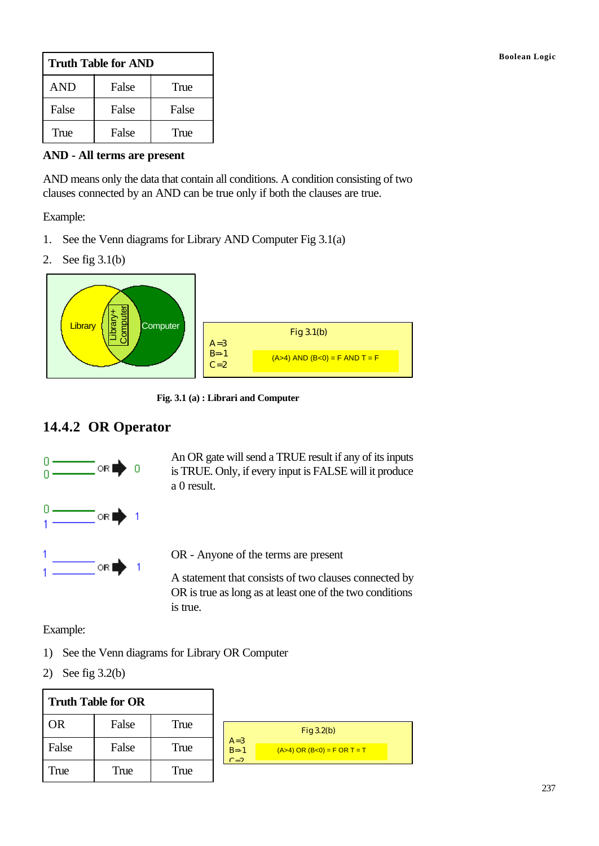| <b>Truth Table for AND</b> |       |       |
|----------------------------|-------|-------|
| <b>AND</b>                 | False | True  |
| False                      | False | False |
| True                       | False | True  |

**AND - All terms are present**

AND means only the data that contain all conditions. A condition consisting of two clauses connected by an AND can be true only if both the clauses are true.

Example:

- 1. See the Venn diagrams for Library AND Computer Fig 3.1(a)
- 2. See fig 3.1(b)



**Fig. 3.1 (a) : Librari and Computer**

### **14.4.2 OR Operator**



An OR gate will send a TRUE result if any of its inputs is TRUE. Only, if every input is FALSE will it produce a 0 result.



OR - Anyone of the terms are present

A statement that consists of two clauses connected by OR is true as long as at least one of the two conditions is true.

Example:

- 1) See the Venn diagrams for Library OR Computer
- 2) See fig 3.2(b)

| <b>Truth Table for OR</b> |       |      |   |
|---------------------------|-------|------|---|
| <b>OR</b>                 | False | True |   |
| False                     | False | True | B |
| True                      | True  | True |   |

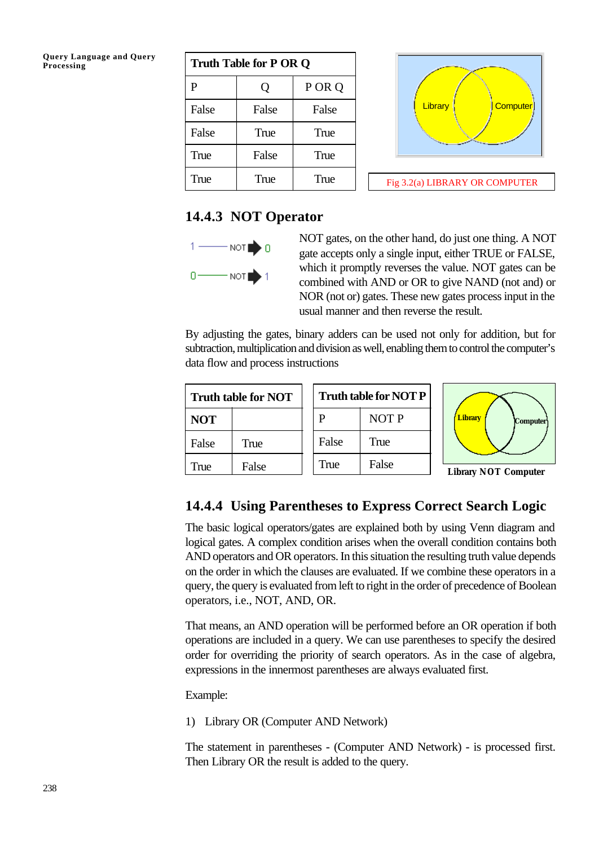**Query Language and Query**

| Query Language and Query<br>Processing | <b>Truth Table for P OR Q</b> |       |        |  |
|----------------------------------------|-------------------------------|-------|--------|--|
|                                        | P                             |       | P OR Q |  |
|                                        | False                         | False | False  |  |
|                                        | False                         | True  | True   |  |
|                                        | True                          | False | True   |  |
|                                        | True                          | True  | True   |  |



#### **14.4.3 NOT Operator**



NOT gates, on the other hand, do just one thing. A NOT gate accepts only a single input, either TRUE or FALSE, which it promptly reverses the value. NOT gates can be combined with AND or OR to give NAND (not and) or NOR (not or) gates. These new gates process input in the usual manner and then reverse the result.

By adjusting the gates, binary adders can be used not only for addition, but for subtraction, multiplication and division as well, enabling them to control the computer's data flow and process instructions

| Truth table for NOT |       |  | <b>Truth tal</b> |
|---------------------|-------|--|------------------|
| <b>NOT</b>          |       |  | P                |
| False               | True  |  | False            |
| True                | False |  | True             |





# **14.4.4 Using Parentheses to Express Correct Search Logic**

The basic logical operators/gates are explained both by using Venn diagram and logical gates. A complex condition arises when the overall condition contains both AND operators and OR operators. In this situation the resulting truth value depends on the order in which the clauses are evaluated. If we combine these operators in a query, the query is evaluated from left to right in the order of precedence of Boolean operators, i.e., NOT, AND, OR.

That means, an AND operation will be performed before an OR operation if both operations are included in a query. We can use parentheses to specify the desired order for overriding the priority of search operators. As in the case of algebra, expressions in the innermost parentheses are always evaluated first.

Example:

1) Library OR (Computer AND Network)

The statement in parentheses - (Computer AND Network) - is processed first. Then Library OR the result is added to the query.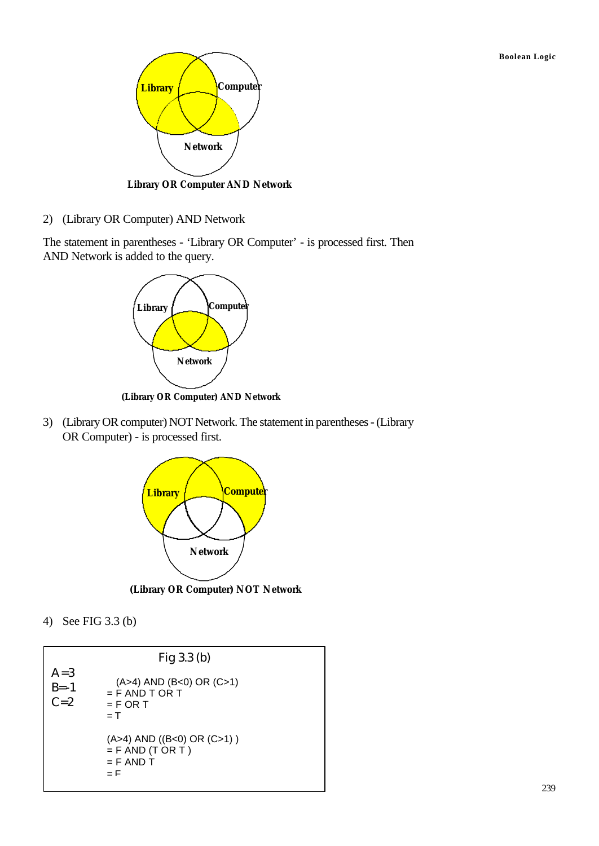**Boolean Logic**



**Library OR Computer AND Network**

2) (Library OR Computer) AND Network

The statement in parentheses - 'Library OR Computer' - is processed first. Then AND Network is added to the query.



**(Library OR Computer) AND Network**

3) (Library OR computer) NOT Network. The statement in parentheses - (Library OR Computer) - is processed first.



**(Library OR Computer) NOT Network**

4) See FIG 3.3 (b)

|                            | Fig $3.3$ (b)                                                                 |
|----------------------------|-------------------------------------------------------------------------------|
| $A=3$<br>$B = -1$<br>$C=2$ | $(A>4)$ AND $(B<0)$ OR $(C>1)$<br>$=$ F AND T OR T<br>$=$ F OR T<br>$=$ T     |
|                            | $(A>4)$ AND $((B<0)$ OR $(C>1)$ )<br>$=$ F AND (T OR T)<br>$=$ F AND T<br>– F |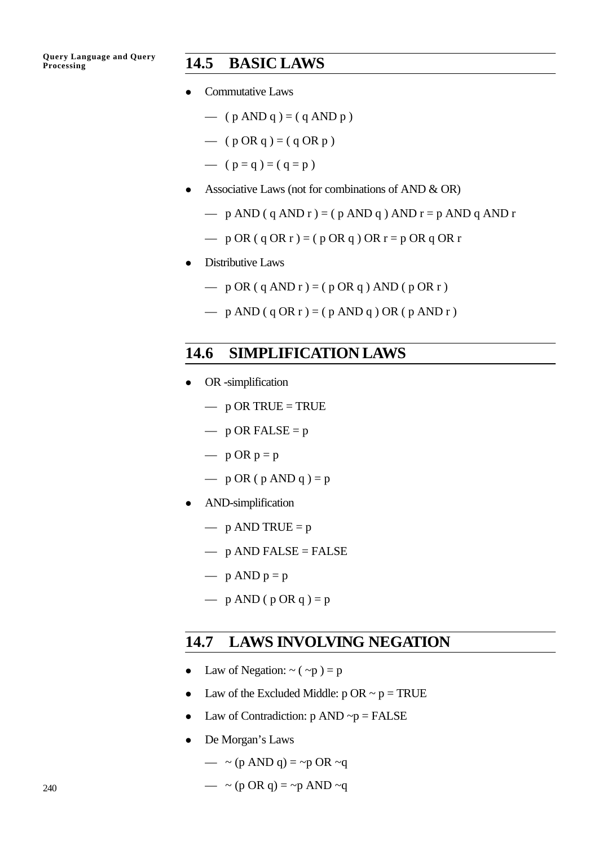#### **Processing 14.5 BASIC LAWS**

- Commutative Laws
	- $-$  (  $p$  AND  $q$  ) = (  $q$  AND  $p$  )
	- $-$  ( p OR q ) = ( q OR p )
	- $(p = q) = (q = p)$
- Associative Laws (not for combinations of AND  $\&$  OR)
	- $-$  p AND (q AND r ) = (p AND q ) AND r = p AND q AND r
	- $-$  p OR ( q OR r ) = ( p OR q ) OR r = p OR q OR r
- Distributive Laws
	- $-$  p OR (q AND r ) = (p OR q ) AND (p OR r )
	- $-$  p AND (q OR r ) = (p AND q ) OR (p AND r )

# **14.6 SIMPLIFICATION LAWS**

- $\bullet$  OR -simplification
	- $-$  p OR TRUE = TRUE
	- $-$  p OR FALSE = p
	- $p$  OR  $p = p$
	- $-$  p OR ( p AND q ) = p
- AND-simplification
	- $-$  p AND TRUE = p
	- $-$  p AND FALSE = FALSE
	- $p$  AND  $p = p$
	- $-$  p AND (p OR q) = p

#### **14.7 LAWS INVOLVING NEGATION**

- Law of Negation:  $\sim$  ( $\sim$ p) = p
- Law of the Excluded Middle:  $p$  OR  $\sim p = TRUE$
- Law of Contradiction:  $p$  AND  $\neg p = FALSE$
- De Morgan's Laws
	- $-$  ~ (p AND q) = ~p OR ~q
	- $-$  ~ (p OR q) = ~p AND ~q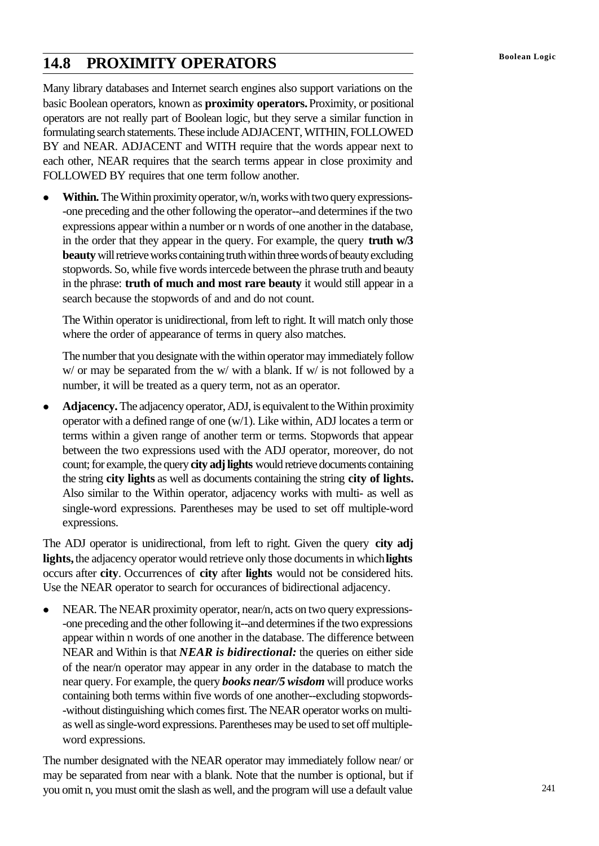# **Boolean Logic 14.8 PROXIMITY OPERATORS**

Many library databases and Internet search engines also support variations on the basic Boolean operators, known as **proximity operators.** Proximity, or positional operators are not really part of Boolean logic, but they serve a similar function in formulating search statements. These include ADJACENT, WITHIN, FOLLOWED BY and NEAR. ADJACENT and WITH require that the words appear next to each other, NEAR requires that the search terms appear in close proximity and FOLLOWED BY requires that one term follow another.

**•** Within. The Within proximity operator, w/n, works with two query expressions--one preceding and the other following the operator--and determines if the two expressions appear within a number or n words of one another in the database, in the order that they appear in the query. For example, the query **truth w/3 beauty** will retrieve works containing truth within three words of beauty excluding stopwords. So, while five words intercede between the phrase truth and beauty in the phrase: **truth of much and most rare beauty** it would still appear in a search because the stopwords of and and do not count.

The Within operator is unidirectional, from left to right. It will match only those where the order of appearance of terms in query also matches.

The number that you designate with the within operator may immediately follow w/ or may be separated from the w/ with a blank. If w/ is not followed by a number, it will be treated as a query term, not as an operator.

**• Adjacency.** The adjacency operator, ADJ, is equivalent to the Within proximity operator with a defined range of one (w/1). Like within, ADJ locates a term or terms within a given range of another term or terms. Stopwords that appear between the two expressions used with the ADJ operator, moreover, do not count; for example, the query **city adj lights** would retrieve documents containing the string **city lights** as well as documents containing the string **city of lights.** Also similar to the Within operator, adjacency works with multi- as well as single-word expressions. Parentheses may be used to set off multiple-word expressions.

The ADJ operator is unidirectional, from left to right. Given the query **city adj lights,** the adjacency operator would retrieve only those documents in which **lights** occurs after **city**. Occurrences of **city** after **lights** would not be considered hits. Use the NEAR operator to search for occurances of bidirectional adjacency.

• NEAR. The NEAR proximity operator, near/n, acts on two query expressions--one preceding and the other following it--and determines if the two expressions appear within n words of one another in the database. The difference between NEAR and Within is that *NEAR is bidirectional:* the queries on either side of the near/n operator may appear in any order in the database to match the near query. For example, the query *books near/5 wisdom* will produce works containing both terms within five words of one another--excluding stopwords- -without distinguishing which comes first. The NEAR operator works on multias well as single-word expressions. Parentheses may be used to set off multipleword expressions.

The number designated with the NEAR operator may immediately follow near/ or may be separated from near with a blank. Note that the number is optional, but if you omit n, you must omit the slash as well, and the program will use a default value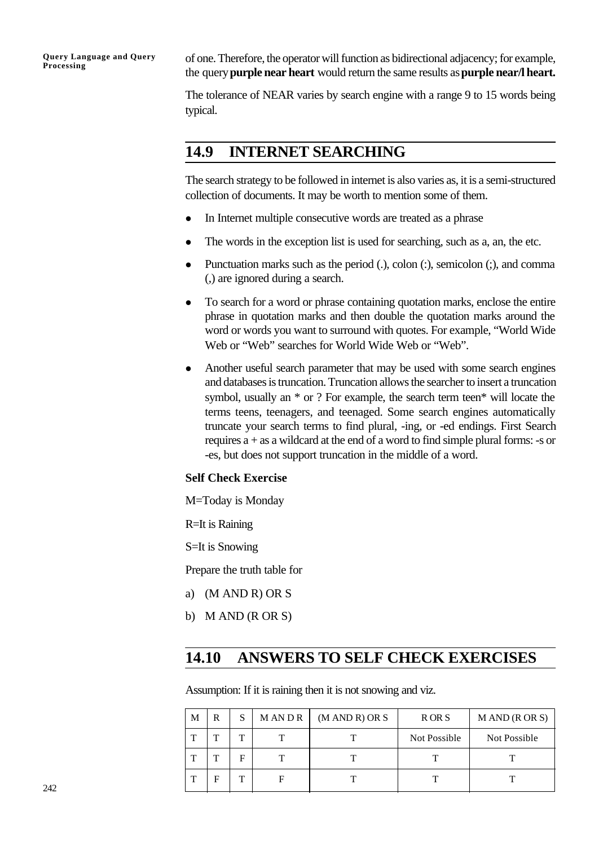**Query Language and Query Processing**

of one. Therefore, the operator will function as bidirectional adjacency; for example, the query **purple near heart** would return the same results as **purple near/l heart.**

The tolerance of NEAR varies by search engine with a range 9 to 15 words being typical.

### **14.9 INTERNET SEARCHING**

The search strategy to be followed in internet is also varies as, it is a semi-structured collection of documents. It may be worth to mention some of them.

- In Internet multiple consecutive words are treated as a phrase
- $\bullet$  The words in the exception list is used for searching, such as a, an, the etc.
- Punctuation marks such as the period  $(.)$ , colon  $(:)$ , semicolon  $(:)$ , and comma (,) are ignored during a search.
- To search for a word or phrase containing quotation marks, enclose the entire phrase in quotation marks and then double the quotation marks around the word or words you want to surround with quotes. For example, "World Wide Web or "Web" searches for World Wide Web or "Web".
- Another useful search parameter that may be used with some search engines and databases is truncation. Truncation allows the searcher to insert a truncation symbol, usually an \* or ? For example, the search term teen\* will locate the terms teens, teenagers, and teenaged. Some search engines automatically truncate your search terms to find plural, -ing, or -ed endings. First Search requires a + as a wildcard at the end of a word to find simple plural forms: -s or -es, but does not support truncation in the middle of a word.

#### **Self Check Exercise**

M=Today is Monday

R=It is Raining

S=It is Snowing

Prepare the truth table for

- a) (M AND R) OR S
- b) M AND (R OR S)

# **14.10 ANSWERS TO SELF CHECK EXERCISES**

Assumption: If it is raining then it is not snowing and viz.

| M | R | S | M AN D R | (M AND R) OR S | R OR S       | M AND (R OR S) |
|---|---|---|----------|----------------|--------------|----------------|
| ᡣ | m | m |          |                | Not Possible | Not Possible   |
| ᡣ | m | F |          |                | m            | m              |
| ጥ | Е | ௱ |          |                |              |                |